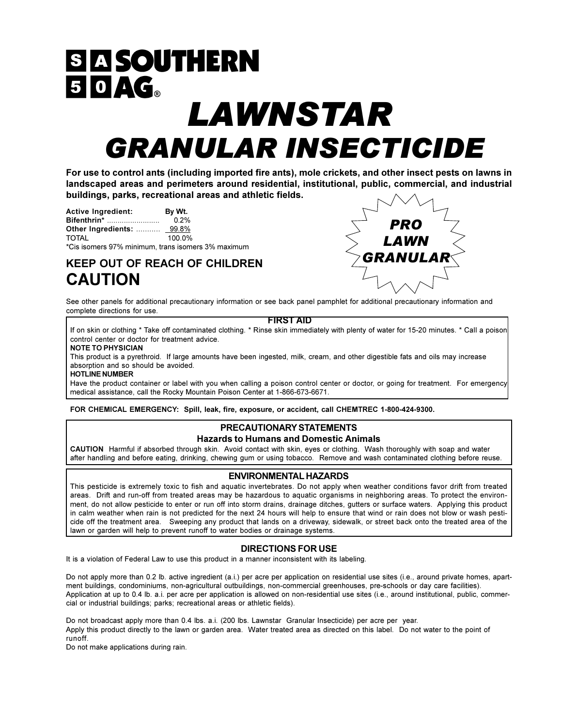# **SIA SOUTHERN** 50AG. LAWNSTAR **GRANULAR INSECTICIDE**

For use to control ants (including imported fire ants), mole crickets, and other insect pests on lawns in landscaped areas and perimeters around residential, institutional, public, commercial, and industrial buildings, parks, recreational areas and athletic fields.

| <b>Active Ingredient:</b> | By Wt.  |
|---------------------------|---------|
| <b>Bifenthrin*</b>        | $0.2\%$ |
| Other Ingredients:  99.8% |         |
| $T$ $T$ $T$ $T$ $T$       | 100.001 |

100.0% TOTAI \*Cis isomers 97% minimum, trans isomers 3% maximum

# **KEEP OUT OF REACH OF CHILDREN CAUTION**



See other panels for additional precautionary information or see back panel pamphlet for additional precautionary information and complete directions for use.

#### **FIRST AID**

If on skin or clothing \* Take off contaminated clothing. \* Rinse skin immediately with plenty of water for 15-20 minutes. \* Call a poison control center or doctor for treatment advice.

**NOTE TO PHYSICIAN** 

This product is a pyrethroid. If large amounts have been ingested, milk, cream, and other digestible fats and oils may increase absorption and so should be avoided.

**HOTLINE NUMBER** 

Have the product container or label with you when calling a poison control center or doctor, or going for treatment. For emergency medical assistance, call the Rocky Mountain Poison Center at 1-866-673-6671.

FOR CHEMICAL EMERGENCY: Spill, leak, fire, exposure, or accident, call CHEMTREC 1-800-424-9300.

## PRECAUTIONARY STATEMENTS **Hazards to Humans and Domestic Animals**

CAUTION Harmful if absorbed through skin. Avoid contact with skin, eyes or clothing. Wash thoroughly with soap and water after handling and before eating, drinking, chewing gum or using tobacco. Remove and wash contaminated clothing before reuse.

# **ENVIRONMENTAL HAZARDS**

This pesticide is extremely toxic to fish and aquatic invertebrates. Do not apply when weather conditions favor drift from treated areas. Drift and run-off from treated areas may be hazardous to aquatic organisms in neighboring areas. To protect the environment, do not allow pesticide to enter or run off into storm drains, drainage ditches, gutters or surface waters. Applying this product in calm weather when rain is not predicted for the next 24 hours will help to ensure that wind or rain does not blow or wash pesticide off the treatment area. Sweeping any product that lands on a driveway, sidewalk, or street back onto the treated area of the lawn or garden will help to prevent runoff to water bodies or drainage systems.

# **DIRECTIONS FOR USE**

It is a violation of Federal Law to use this product in a manner inconsistent with its labeling.

Do not apply more than 0.2 lb. active ingredient (a.i.) per acre per application on residential use sites (i.e., around private homes, apartment buildings, condominiums, non-agricultural outbuildings, non-commercial greenhouses, pre-schools or day care facilities). Application at up to 0.4 lb. a.i. per acre per application is allowed on non-residential use sites (i.e., around institutional, public, commercial or industrial buildings; parks; recreational areas or athletic fields).

Do not broadcast apply more than 0.4 lbs. a.i. (200 lbs. Lawnstar Granular Insecticide) per acre per year. Apply this product directly to the lawn or garden area. Water treated area as directed on this label. Do not water to the point of runoff

Do not make applications during rain.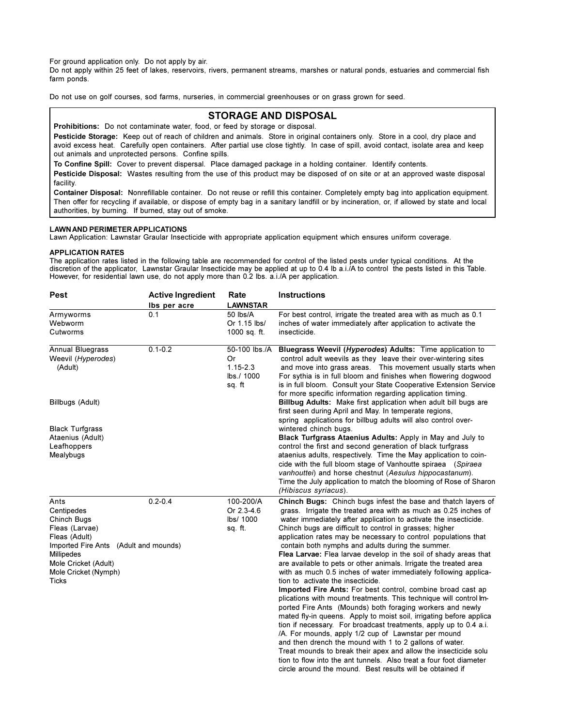For ground application only. Do not apply by air.

Do not apply within 25 feet of lakes, reservoirs, rivers, permanent streams, marshes or natural ponds, estuaries and commercial fish farm ponds.

Do not use on golf courses, sod farms, nurseries, in commercial greenhouses or on grass grown for seed.

# **STORAGE AND DISPOSAL**

Prohibitions: Do not contaminate water, food, or feed by storage or disposal.

Pesticide Storage: Keep out of reach of children and animals. Store in original containers only. Store in a cool, dry place and avoid excess heat. Carefully open containers. After partial use close tightly. In case of spill, avoid contact, isolate area and keep out animals and unprotected persons. Confine spills.

To Confine Spill: Cover to prevent dispersal. Place damaged package in a holding container. Identify contents.

Pesticide Disposal: Wastes resulting from the use of this product may be disposed of on site or at an approved waste disposal facility.

Container Disposal: Nonrefillable container. Do not reuse or refill this container. Completely empty bag into application equipment. Then offer for recycling if available, or dispose of empty bag in a sanitary landfill or by incineration, or, if allowed by state and local authorities, by burning. If burned, stay out of smoke.

### **LAWN AND PERIMETER APPLICATIONS**

Lawn Application: Lawnstar Graular Insecticide with appropriate application equipment which ensures uniform coverage.

### **APPLICATION RATES**

The application rates listed in the following table are recommended for control of the listed pests under typical conditions. At the discretion of the applicator, Lawnstar Graular Insecticide may be applied at up to 0.4 lb a.i./A to control the pests listed in this Table. However, for residential lawn use, do not apply more than 0.2 lbs. a.i./A per application.

| Pest                                                                                                                                                                                               | <b>Active Ingredient</b><br>Ibs per acre | Rate<br><b>LAWNSTAR</b>                                     | Instructions                                                                                                                                                                                                                                                                                                                                                                                                                                                                                                                                                                                                                                                                                                                                                                                                                                                                                                                                                                                                                                                                                                                                                                                                                                                                                                 |  |  |  |  |  |
|----------------------------------------------------------------------------------------------------------------------------------------------------------------------------------------------------|------------------------------------------|-------------------------------------------------------------|--------------------------------------------------------------------------------------------------------------------------------------------------------------------------------------------------------------------------------------------------------------------------------------------------------------------------------------------------------------------------------------------------------------------------------------------------------------------------------------------------------------------------------------------------------------------------------------------------------------------------------------------------------------------------------------------------------------------------------------------------------------------------------------------------------------------------------------------------------------------------------------------------------------------------------------------------------------------------------------------------------------------------------------------------------------------------------------------------------------------------------------------------------------------------------------------------------------------------------------------------------------------------------------------------------------|--|--|--|--|--|
| Armyworms<br>Webworm<br>Cutworms                                                                                                                                                                   | 0.1                                      | 50 lbs/A<br>Or 1.15 lbs/<br>1000 sq. ft.                    | For best control, irrigate the treated area with as much as 0.1<br>inches of water immediately after application to activate the<br>insecticide.                                                                                                                                                                                                                                                                                                                                                                                                                                                                                                                                                                                                                                                                                                                                                                                                                                                                                                                                                                                                                                                                                                                                                             |  |  |  |  |  |
| Annual Bluegrass<br>Weevil (Hyperodes)<br>(Adult)                                                                                                                                                  | $0.1 - 0.2$                              | 50-100 lbs./A<br>Or<br>$1.15 - 2.3$<br>lbs./ 1000<br>sq. ft | Bluegrass Weevil (Hyperodes) Adults: Time application to<br>control adult weevils as they leave their over-wintering sites<br>and move into grass areas. This movement usually starts when<br>For sythia is in full bloom and finishes when flowering dogwood<br>is in full bloom. Consult your State Cooperative Extension Service<br>for more specific information regarding application timing.                                                                                                                                                                                                                                                                                                                                                                                                                                                                                                                                                                                                                                                                                                                                                                                                                                                                                                           |  |  |  |  |  |
| Billbugs (Adult)                                                                                                                                                                                   |                                          |                                                             | Billbug Adults: Make first application when adult bill bugs are<br>first seen during April and May. In temperate regions,<br>spring applications for billbug adults will also control over-                                                                                                                                                                                                                                                                                                                                                                                                                                                                                                                                                                                                                                                                                                                                                                                                                                                                                                                                                                                                                                                                                                                  |  |  |  |  |  |
| <b>Black Turfgrass</b><br>Ataenius (Adult)<br>Leafhoppers<br>Mealybugs                                                                                                                             |                                          |                                                             | wintered chinch bugs.<br>Black Turfgrass Ataenius Adults: Apply in May and July to<br>control the first and second generation of black turfgrass<br>ataenius adults, respectively. Time the May application to coin-<br>cide with the full bloom stage of Vanhoutte spiraea (Spiraea<br>vanhouttei) and horse chestnut (Aesulus hippocastanum).<br>Time the July application to match the blooming of Rose of Sharon<br>(Hibiscus syriacus).                                                                                                                                                                                                                                                                                                                                                                                                                                                                                                                                                                                                                                                                                                                                                                                                                                                                 |  |  |  |  |  |
| Ants<br>Centipedes<br>Chinch Bugs<br>Fleas (Larvae)<br>Fleas (Adult)<br>Imported Fire Ants (Adult and mounds)<br><b>Millipedes</b><br>Mole Cricket (Adult)<br>Mole Cricket (Nymph)<br><b>Ticks</b> | $0.2 - 0.4$                              | 100-200/A<br>Or 2.3-4.6<br>lbs/ 1000<br>sq. ft.             | Chinch Bugs: Chinch bugs infest the base and thatch layers of<br>grass. Irrigate the treated area with as much as 0.25 inches of<br>water immediately after application to activate the insecticide.<br>Chinch bugs are difficult to control in grasses; higher<br>application rates may be necessary to control populations that<br>contain both nymphs and adults during the summer.<br>Flea Larvae: Flea larvae develop in the soil of shady areas that<br>are available to pets or other animals. Irrigate the treated area<br>with as much 0.5 inches of water immediately following applica-<br>tion to activate the insecticide.<br>Imported Fire Ants: For best control, combine broad cast ap<br>plications with mound treatments. This technique will control Im-<br>ported Fire Ants (Mounds) both foraging workers and newly<br>mated fly-in queens. Apply to moist soil, irrigating before applica<br>tion if necessary. For broadcast treatments, apply up to 0.4 a.i.<br>/A. For mounds, apply 1/2 cup of Lawnstar per mound<br>and then drench the mound with 1 to 2 gallons of water.<br>Treat mounds to break their apex and allow the insecticide solu<br>tion to flow into the ant tunnels. Also treat a four foot diameter<br>circle around the mound. Best results will be obtained if |  |  |  |  |  |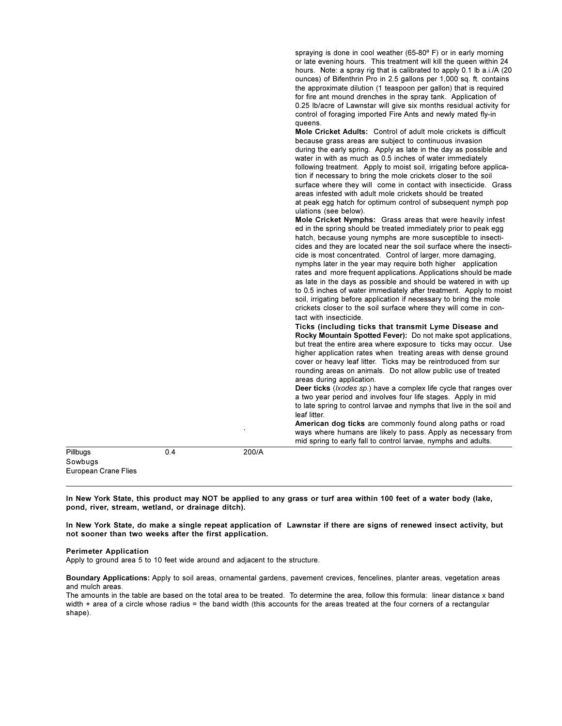| hours. Note: a spray rig that is calibrated to apply 0.1 lb a.i./A (20)<br>ounces) of Bifenthrin Pro in 2.5 gallons per 1,000 sq. ft. contains<br>the approximate dilution (1 teaspoon per gallon) that is required<br>for fire ant mound drenches in the spray tank. Application of<br>0.25 lb/acre of Lawnstar will give six months residual activity for<br>control of foraging imported Fire Ants and newly mated fly-in<br>queens.<br><b>Mole Cricket Adults:</b> Control of adult mole crickets is difficult<br>because grass areas are subject to continuous invasion<br>during the early spring. Apply as late in the day as possible and<br>water in with as much as 0.5 inches of water immediately<br>following treatment. Apply to moist soil, irrigating before applica-<br>tion if necessary to bring the mole crickets closer to the soil<br>surface where they will come in contact with insecticide. Grass<br>areas infested with adult mole crickets should be treated<br>at peak egg hatch for optimum control of subsequent nymph pop<br>ulations (see below).<br>Mole Cricket Nymphs: Grass areas that were heavily infest<br>ed in the spring should be treated immediately prior to peak egg<br>hatch, because young nymphs are more susceptible to insecti-<br>cides and they are located near the soil surface where the insecti-<br>cide is most concentrated. Control of larger, more damaging,<br>nymphs later in the year may require both higher application<br>rates and more frequent applications. Applications should be made<br>as late in the days as possible and should be watered in with up<br>to 0.5 inches of water immediately after treatment. Apply to moist<br>soil, irrigating before application if necessary to bring the mole<br>crickets closer to the soil surface where they will come in con-<br>tact with insecticide.<br>Ticks (including ticks that transmit Lyme Disease and<br>Rocky Mountain Spotted Fever): Do not make spot applications,<br>but treat the entire area where exposure to ticks may occur. Use<br>higher application rates when treating areas with dense ground<br>cover or heavy leaf litter. Ticks may be reintroduced from sur<br>rounding areas on animals. Do not allow public use of treated<br>areas during application.<br>Deer ticks ( <i>lxodes sp.</i> ) have a complex life cycle that ranges over<br>a two year period and involves four life stages. Apply in mid<br>to late spring to control larvae and nymphs that live in the soil and<br>leaf litter.<br>American dog ticks are commonly found along paths or road<br>ways where humans are likely to pass. Apply as necessary from<br>mid spring to early fall to control larvae, nymphs and adults. |  |  |
|--------------------------------------------------------------------------------------------------------------------------------------------------------------------------------------------------------------------------------------------------------------------------------------------------------------------------------------------------------------------------------------------------------------------------------------------------------------------------------------------------------------------------------------------------------------------------------------------------------------------------------------------------------------------------------------------------------------------------------------------------------------------------------------------------------------------------------------------------------------------------------------------------------------------------------------------------------------------------------------------------------------------------------------------------------------------------------------------------------------------------------------------------------------------------------------------------------------------------------------------------------------------------------------------------------------------------------------------------------------------------------------------------------------------------------------------------------------------------------------------------------------------------------------------------------------------------------------------------------------------------------------------------------------------------------------------------------------------------------------------------------------------------------------------------------------------------------------------------------------------------------------------------------------------------------------------------------------------------------------------------------------------------------------------------------------------------------------------------------------------------------------------------------------------------------------------------------------------------------------------------------------------------------------------------------------------------------------------------------------------------------------------------------------------------------------------------------------------------------------------------------------------------------------------------------------------------------------------------------------------------------------------------------------------------------------------------------------------------------------------------------|--|--|
| Pillbugs<br>0.4<br>200/A<br>Sowbugs                                                                                                                                                                                                                                                                                                                                                                                                                                                                                                                                                                                                                                                                                                                                                                                                                                                                                                                                                                                                                                                                                                                                                                                                                                                                                                                                                                                                                                                                                                                                                                                                                                                                                                                                                                                                                                                                                                                                                                                                                                                                                                                                                                                                                                                                                                                                                                                                                                                                                                                                                                                                                                                                                                                    |  |  |

In New York State, this product may NOT be applied to any grass or turf area within 100 feet of a water body (lake, pond, river, stream, wetland, or drainage ditch).

In New York State, do make a single repeat application of Lawnstar if there are signs of renewed insect activity, but not sooner than two weeks after the first application.

#### **Perimeter Application**

European Crane Flies

Apply to ground area 5 to 10 feet wide around and adjacent to the structure.

Boundary Applications: Apply to soil areas, ornamental gardens, pavement crevices, fencelines, planter areas, vegetation areas and mulch areas.

The amounts in the table are based on the total area to be treated. To determine the area, follow this formula: linear distance x band width + area of a circle whose radius = the band width (this accounts for the areas treated at the four corners of a rectangular shape).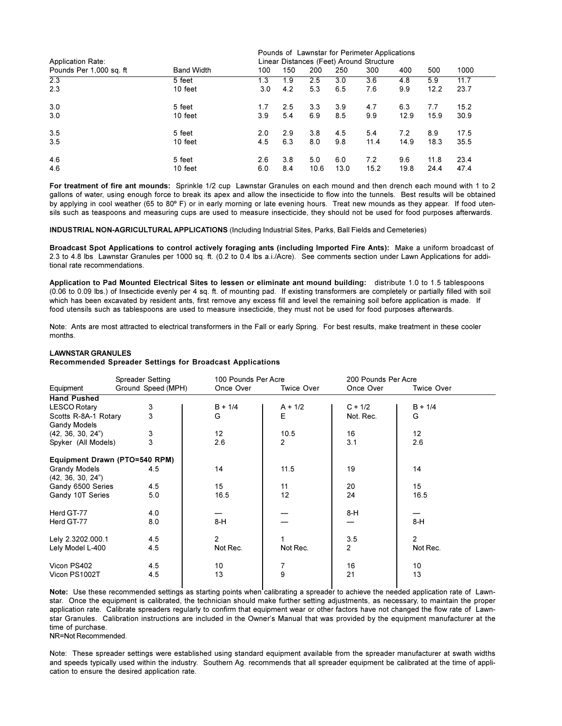|                          |                                          | Pounds of Lawnstar for Perimeter Applications |     |      |      |      |      |      |      |  |
|--------------------------|------------------------------------------|-----------------------------------------------|-----|------|------|------|------|------|------|--|
| <b>Application Rate:</b> | Linear Distances (Feet) Around Structure |                                               |     |      |      |      |      |      |      |  |
| Pounds Per 1,000 sq. ft  | <b>Band Width</b>                        | 100                                           | 150 | 200  | 250  | 300  | 400  | 500  | 1000 |  |
| 2.3                      | 5 feet                                   | 1.3                                           | 1.9 | 2.5  | 3.0  | 3.6  | 4.8  | 5.9  | 11.7 |  |
| 2.3                      | 10 feet                                  | 3.0                                           | 4.2 | 5.3  | 6.5  | 7.6  | 9.9  | 12.2 | 23.7 |  |
| 3.0                      | 5 feet                                   | 1.7                                           | 2.5 | 3.3  | 3.9  | 4.7  | 6.3  | 7.7  | 15.2 |  |
| 3.0                      | 10 feet                                  | 3.9                                           | 5.4 | 6.9  | 8.5  | 9.9  | 12.9 | 15.9 | 30.9 |  |
| 3.5                      | 5 feet                                   | 2.0                                           | 2.9 | 3.8  | 4.5  | 5.4  | 7.2  | 8.9  | 17.5 |  |
| 3.5                      | 10 feet                                  | 4.5                                           | 6.3 | 8.0  | 9.8  | 11.4 | 14.9 | 18.3 | 35.5 |  |
| 4.6                      | 5 feet                                   | 2.6                                           | 3.8 | 5.0  | 6.0  | 7.2  | 9.6  | 11.8 | 23.4 |  |
| 4.6                      | 10 feet                                  | 6.0                                           | 8.4 | 10.6 | 13.0 | 15.2 | 19.8 | 24.4 | 47.4 |  |

For treatment of fire ant mounds: Sprinkle 1/2 cup Lawnstar Granules on each mound and then drench each mound with 1 to 2 gallons of water, using enough force to break its apex and allow the insecticide to flow into the tunnels. Best results will be obtained by applying in cool weather (65 to 80°F) or in early morning or late evening hours. Treat new mounds as they appear. If food utensils such as teaspoons and measuring cups are used to measure insecticide, they should not be used for food purposes afterwards.

**INDUSTRIAL NON-AGRICULTURAL APPLICATIONS** (Including Industrial Sites, Parks, Ball Fields and Cemeteries)

Broadcast Spot Applications to control actively foraging ants (including Imported Fire Ants): Make a uniform broadcast of 2.3 to 4.8 lbs Lawnstar Granules per 1000 sq. ft. (0.2 to 0.4 lbs a.i./Acre). See comments section under Lawn Applications for additional rate recommendations.

Application to Pad Mounted Electrical Sites to lessen or eliminate ant mound building: distribute 1.0 to 1.5 tablespoons (0.06 to 0.09 lbs.) of Insecticide evenly per 4 sq. ft. of mounting pad. If existing transformers are completely or partially filled with soil which has been excavated by resident ants, first remove any excess fill and level the remaining soil before application is made. If food utensils such as tablespoons are used to measure insecticide, they must not be used for food purposes afterwards.

Note: Ants are most attracted to electrical transformers in the Fall or early Spring. For best results, make treatment in these cooler months.

#### **LAWNSTAR GRANULES**

Recommended Spreader Settings for Broadcast Applications

|                               | Spreader Setting   | 100 Pounds Per Acre |                   | 200 Pounds Per Acre |                   |  |
|-------------------------------|--------------------|---------------------|-------------------|---------------------|-------------------|--|
| Equipment                     | Ground Speed (MPH) | Once Over           | <b>Twice Over</b> | Once Over           | <b>Twice Over</b> |  |
| <b>Hand Pushed</b>            |                    |                     |                   |                     |                   |  |
| <b>LESCO Rotary</b>           | 3                  | $B + 1/4$           | $A + 1/2$         | $C + 1/2$           | $B + 1/4$         |  |
| Scotts R-8A-1 Rotary          | $\overline{3}$     | G                   | Е                 | Not. Rec.           | G                 |  |
| <b>Gandy Models</b>           |                    |                     |                   |                     |                   |  |
| (42, 36, 30, 24")             | 3                  | 12                  | 10.5              | 16                  | $12 \overline{ }$ |  |
| Spyker (All Models)           | 3                  | 2.6                 | $\overline{2}$    | 3.1                 | 2.6               |  |
| Equipment Drawn (PTO=540 RPM) |                    |                     |                   |                     |                   |  |
| <b>Grandy Models</b>          | 4.5                | 14                  | 11.5              | 19                  | 14                |  |
| (42, 36, 30, 24")             |                    |                     |                   |                     |                   |  |
| Gandy 6500 Series             | 4.5                | 15                  | 11                | 20                  | 15                |  |
| Gandy 10T Series              | 5.0                | 16.5                | 12                | 24                  | 16.5              |  |
| Herd GT-77                    | 4.0                |                     |                   | 8-H                 |                   |  |
| Herd GT-77                    | 8.0                | $8-H$               |                   |                     | $8-H$             |  |
| Lely 2.3202.000.1             | 4.5                | $\overline{2}$      |                   | 3.5                 | $\overline{2}$    |  |
| Lely Model L-400              | 4.5                | Not Rec.            | Not Rec.          | 2                   | Not Rec.          |  |
| Vicon PS402                   | 4.5                | 10                  | 7                 | 16                  | 10                |  |
| Vicon PS1002T                 | 4.5                | 13                  | 9                 | 21                  | 13                |  |

Note: Use these recommended settings as starting points when calibrating a spreader to achieve the needed application rate of Lawnstar. Once the equipment is calibrated, the technician should make further setting adjustments, as necessary, to maintain the proper application rate. Calibrate spreaders regularly to confirm that equipment wear or other factors have not changed the flow rate of Lawnstar Granules. Calibration instructions are included in the Owner's Manual that was provided by the equipment manufacturer at the time of purchase.

NR=Not Recommended.

Note: These spreader settings were established using standard equipment available from the spreader manufacturer at swath widths and speeds typically used within the industry. Southern Aq. recommends that all spreader equipment be calibrated at the time of application to ensure the desired application rate.